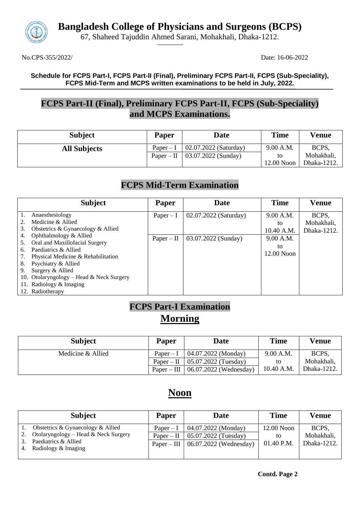

**Bangladesh College of Physicians and Surgeons (BCPS)**

67, Shaheed Tajuddin Ahmed Sarani, Mohakhali, Dhaka-1212.

.**........................**

No.CPS-355/2022/ Date: 16-06-2022

#### **Schedule for FCPS Part-I, FCPS Part-II (Final), Preliminary FCPS Part-II, FCPS (Sub-Speciality), FCPS Mid-Term and MCPS written examinations to be held in July, 2022.**

### **FCPS Part-II (Final), Preliminary FCPS Part-II, FCPS (Sub-Speciality) and MCPS Examinations.**

| <b>Subject</b>      | <b>Paper</b> | <b>Date</b>           | <b>Time</b> | <b>Venue</b> |
|---------------------|--------------|-----------------------|-------------|--------------|
| <b>All Subjects</b> | $Paper-I$    | 02.07.2022 (Saturday) | 9.00 A.M.   | BCPS,        |
|                     | $Paper - II$ | 03.07.2022 (Sunday)   |             | Mohakhali,   |
|                     |              |                       | 12.00 Noon  | Dhaka-1212.  |

### **FCPS Mid-Term Examination**

|          | <b>Subject</b>                                           | Paper        | Date                  | <b>Time</b>      | <b>Venue</b>        |
|----------|----------------------------------------------------------|--------------|-----------------------|------------------|---------------------|
| 1.       | Anaesthesiology<br>Medicine & Allied                     | $Paper - I$  | 02.07.2022 (Saturday) | 9.00 A.M.<br>to  | BCPS,<br>Mohakhali, |
| 3.       | Obstetrics & Gynaecology & Allied                        |              |                       | 10.40 A.M.       | Dhaka-1212.         |
| 4.<br>5. | Ophthalmology & Allied<br>Oral and Maxillofacial Surgery | $Paper - II$ | 03.07.2022 (Sunday)   | 9.00 A.M.        |                     |
| 6.       | Paediatrics & Allied                                     |              |                       | to<br>12.00 Noon |                     |
|          | Physical Medicine & Rehabilitation                       |              |                       |                  |                     |
| 8.<br>9. | Psychiatry & Allied<br>Surgery & Allied                  |              |                       |                  |                     |
|          | 10. Otolaryngology - Head & Neck Surgery                 |              |                       |                  |                     |
|          | 11. Radiology & Imaging                                  |              |                       |                  |                     |
|          | 12. Radiotherapy                                         |              |                       |                  |                     |

## **FCPS Part-I Examination Morning**

| <b>Subject</b>    | <b>Paper</b> | <b>Date</b>                            | <b>Time</b> | <b>Venue</b> |
|-------------------|--------------|----------------------------------------|-------------|--------------|
| Medicine & Allied | $Paper-I$    | 04.07.2022 (Monday)                    | 9.00 A.M.   | BCPS.        |
|                   |              | Paper – II   $05.07.2022$ (Tuesday)    | to          | Mohakhali,   |
|                   |              | Paper – III   $06.07.2022$ (Wednesday) | 10.40 A.M.  | Dhaka-1212.  |

## **Noon**

|    | <b>Subject</b>                              | Paper         | Date                   | <b>Time</b> | Venue       |
|----|---------------------------------------------|---------------|------------------------|-------------|-------------|
|    | Obstetrics & Gynaecology & Allied           | Paper $-I$    | 04.07.2022 (Monday)    | 12.00 Noon  | BCPS.       |
|    | Otolaryngology – Head & Neck Surgery        | $Paper - II$  | 05.07.2022 (Tuesday)   | to          | Mohakhali,  |
| 4. | Paediatrics & Allied<br>Radiology & Imaging | $Paper - III$ | 06.07.2022 (Wednesday) | 01.40 P.M.  | Dhaka-1212. |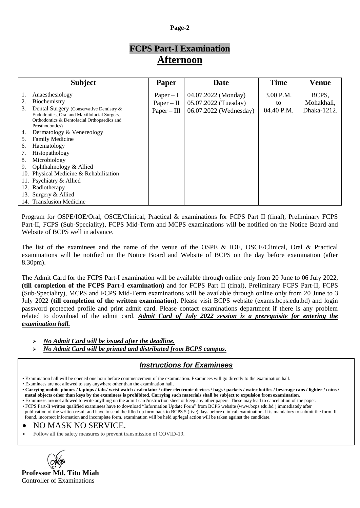#### **Page-2**

## **FCPS Part-I Examination Afternoon**

|    | <b>Subject</b>                                                                                                                                             | Paper         | Date                   | <b>Time</b> | <b>Venue</b> |
|----|------------------------------------------------------------------------------------------------------------------------------------------------------------|---------------|------------------------|-------------|--------------|
|    | Anaesthesiology                                                                                                                                            | $Paper - I$   | 04.07.2022 (Monday)    | 3.00 P.M.   | BCPS,        |
| 2. | Biochemistry                                                                                                                                               | $Paper - II$  | 05.07.2022 (Tuesday)   | to          | Mohakhali,   |
| 3. | Dental Surgery (Conservative Dentistry &<br>Endodontics, Oral and Maxillofacial Surgery,<br>Orthodontics & Dentofacial Orthopaedics and<br>Prosthodontics) | $Paper - III$ | 06.07.2022 (Wednesday) | 04.40 P.M.  | Dhaka-1212.  |
| 4. | Dermatology & Venereology                                                                                                                                  |               |                        |             |              |
| 5. | Family Medicine                                                                                                                                            |               |                        |             |              |
| 6. | Haematology                                                                                                                                                |               |                        |             |              |
| 7. | Histopathology                                                                                                                                             |               |                        |             |              |
| 8. | Microbiology                                                                                                                                               |               |                        |             |              |
| 9. | Ophthalmology & Allied                                                                                                                                     |               |                        |             |              |
|    | 10. Physical Medicine & Rehabilitation                                                                                                                     |               |                        |             |              |
|    | 11. Psychiatry & Allied                                                                                                                                    |               |                        |             |              |
|    | 12. Radiotherapy                                                                                                                                           |               |                        |             |              |
|    | 13. Surgery & Allied                                                                                                                                       |               |                        |             |              |
|    | 14. Transfusion Medicine                                                                                                                                   |               |                        |             |              |

Program for OSPE/IOE/Oral, OSCE/Clinical, Practical & examinations for FCPS Part II (final), Preliminary FCPS Part-II, FCPS (Sub-Speciality), FCPS Mid-Term and MCPS examinations will be notified on the Notice Board and Website of BCPS well in advance.

The list of the examinees and the name of the venue of the OSPE & IOE, OSCE/Clinical, Oral & Practical examinations will be notified on the Notice Board and Website of BCPS on the day before examination (after 8.30pm).

The Admit Card for the FCPS Part-I examination will be available through online only from 20 June to 06 July 2022, **(till completion of the FCPS Part-I examination)** and for FCPS Part II (final), Preliminary FCPS Part-II, FCPS (Sub-Speciality), MCPS and FCPS Mid-Term examinations will be available through online only from 20 June to 3 July 2022 **(till completion of the written examination)**. Please visit BCPS website (exams.bcps.edu.bd) and login password protected profile and print admit card. Please contact examinations department if there is any problem related to download of the admit card. *Admit Card of July 2022 session is a prerequisite for entering the examination hall.*

*No Admit Card will be issued after the deadline.* 

*No Admit Card will be printed and distributed from BCPS campus.*

#### *Instructions for Examinees*

• Examination hall will be opened one hour before commencement of the examination. Examinees will go directly to the examination hall.

• Examinees are not allowed to stay anywhere other than the examination hall.

• **Carrying mobile phones / laptops / tabs/ wrist watch / calculator / other electronic devices / bags / packets / water bottles / beverage cans / lighter / coins / metal objects other than keys by the examinees is prohibited. Carrying such materials shall be subject to expulsion from examination.**

• Examinees are not allowed to write anything on the admit card/instruction sheet or keep any other papers. These may lead to cancellation of the paper.

• FCPS Part-II written qualified examinees have to download "Information Update Form" from BCPS website [\(www.bcps.edu.bd](http://www.bcps.edu.bd/) ) immediately after publication of the written result and have to send the filled up form back to BCPS 5 (five) days before clinical examination. It is mandatory to submit the form. If found, incorrect information and incomplete form, examination will be held up/legal action will be taken against the candidate.

#### • NO MASK NO SERVICE.

Follow all the safety measures to prevent transmission of COVID-19.

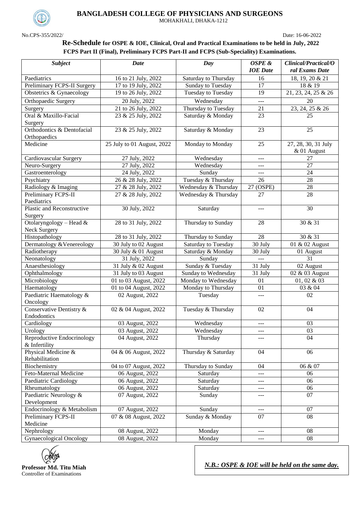

No.CPS-355/2022/ Date: 16-06-2022

**BANGLADESH COLLEGE OF PHYSICIANS AND SURGEONS**

MOHAKHALI, DHAKA-1212

#### **Re-Schedule for OSPE & IOE, Clinical, Oral and Practical Examinations to be held in July, 2022 FCPS Part II (Final), Preliminary FCPS Part-II and FCPS (Sub-Speciality) Examinations.**

| <b>Subject</b>                              | Date                                           | Day                                       | OSPE &               | Clinical/Practical/O               |
|---------------------------------------------|------------------------------------------------|-------------------------------------------|----------------------|------------------------------------|
|                                             |                                                |                                           | <b>IOE</b> Date      | ral Exams Date                     |
| Paediatrics                                 | 16 to 21 July, 2022                            | Saturday to Thursday                      | 16                   | 18, 19, 20 & 21                    |
| Preliminary FCPS-II Surgery                 | 17 to 19 July, 2022                            | Sunday to Tuesday                         | 17                   | 18 & 19                            |
| Obstetrics & Gynaecology                    | 19 to 26 July, 2022                            | Tuesday to Tuesday                        | 19                   | 21, 23, 24, 25 & 26                |
| Orthopaedic Surgery                         | 20 July, 2022                                  | Wednesday                                 | $---$                | 20                                 |
| Surgery                                     | 21 to 26 July, 2022                            | Thursday to Tuesday                       | 21                   | 23, 24, 25 & 26                    |
| Oral & Maxillo-Facial<br>Surgery            | 23 & 25 July, 2022                             | Saturday & Monday                         | 23                   | 25                                 |
| Orthodontics & Dentofacial                  | 23 & 25 July, 2022                             | Saturday & Monday                         | 23                   | 25                                 |
| Orthopaedics                                |                                                |                                           |                      |                                    |
| Medicine                                    | 25 July to 01 August, 2022                     | Monday to Monday                          | 25                   | 27, 28, 30, 31 July<br>& 01 August |
| Cardiovascular Surgery                      | 27 July, 2022                                  | Wednesday                                 | $\frac{1}{2}$        | 27                                 |
| Neuro-Surgery                               | 27 July, 2022                                  | Wednesday                                 | $---$                | 27                                 |
| Gastroenterology                            | 24 July, 2022                                  | Sunday                                    | $---$                | 24                                 |
| Psychiatry                                  | 26 & 28 July, 2022                             | Tuesday & Thursday                        | 26                   | 28                                 |
| Radiology & Imaging                         | 27 & 28 July, 2022                             | Wednesday & Thursday                      | 27 (OSPE)            | 28                                 |
| Preliminary FCPS-II                         | 27 & 28 July, 2022                             | Wednesday & Thursday                      | 27                   | $\overline{28}$                    |
| Paediatrics                                 |                                                |                                           |                      |                                    |
| Plastic and Reconstructive<br>Surgery       | 30 July, 2022                                  | Saturday                                  | $---$                | 30                                 |
| Otolaryngology - Head $&$                   | 28 to 31 July, 2022                            | Thursday to Sunday                        | 28                   | 30 & 31                            |
| Neck Surgery                                |                                                |                                           |                      |                                    |
| Histopathology                              | 28 to 31 July, 2022                            | Thursday to Sunday                        | 28                   | 30 & 31                            |
| Dermatology & Venereology                   | 30 July to 02 August                           | Saturday to Tuesday                       | 30 July              | 01 & 02 August                     |
| Radiotherapy                                | 30 July & 01 August                            | Saturday & Monday                         | 30 July              | 01 August                          |
| Neonatology                                 | 31 July, 2022                                  | Sunday                                    | $\sim$ $\sim$ $\sim$ | 31                                 |
| Anaesthesiology                             | 31 July & 02 August                            | Sunday & Tuesday                          | 31 July              | 02 August                          |
| Ophthalmology                               | 31 July to 03 August                           | Sunday to Wednesday                       | 31 July              | 02 & 03 August                     |
| Microbiology<br>Haematology                 | 01 to 03 August, 2022<br>01 to 04 August, 2022 | Monday to Wednesday<br>Monday to Thursday | 01<br>01             | 01, 02 & 03<br>03 & 04             |
| Paediatric Haematology &                    | 02 August, 2022                                |                                           |                      | 02                                 |
| Oncology                                    |                                                | Tuesday                                   | $---$                |                                    |
| Conservative Dentistry &                    | 02 & 04 August, 2022                           | Tuesday & Thursday                        | 02                   | 04                                 |
| Endodontics                                 |                                                |                                           |                      |                                    |
| Cardiology                                  | 03 August, 2022                                | Wednesday                                 | $\frac{1}{2}$        | 03                                 |
| Urology                                     | 03 August, 2022                                | Wednesday                                 | ---                  | 03                                 |
| Reproductive Endocrinology<br>& Infertility | 04 August, 2022                                | Thursday                                  | ---                  | 04                                 |
| Physical Medicine &<br>Rehabilitation       | 04 & 06 August, 2022                           | Thursday & Saturday                       | 04                   | 06                                 |
| Biochemistry                                | 04 to 07 August, 2022                          | Thursday to Sunday                        | 04                   | 06 & 07                            |
| Feto-Maternal Medicine                      | 06 August, 2022                                | Saturday                                  | ---                  | 06                                 |
| Paediatric Cardiology                       | 06 August, 2022                                | Saturday                                  | ---                  | 06                                 |
| Rheumatology                                | 06 August, 2022                                | Saturday                                  | ---                  | 06                                 |
| Paediatric Neurology &                      | 07 August, 2022                                | Sunday                                    | ---                  | 07                                 |
| Development                                 |                                                |                                           |                      |                                    |
| Endocrinology & Metabolism                  | 07 August, 2022                                | Sunday                                    | $\qquad \qquad - -$  | 07                                 |
| Preliminary FCPS-II                         | 07 & 08 August, 2022                           | Sunday & Monday                           | 07                   | 08                                 |
| Medicine                                    |                                                |                                           |                      |                                    |
| Nephrology                                  | 08 August, 2022                                | Monday                                    | $\qquad \qquad -$    | 08                                 |
| Gynaecological Oncology                     | 08 August, 2022                                | Monday                                    | ---                  | 08                                 |



*N.B.: OSPE & IOE will be held on the same day.*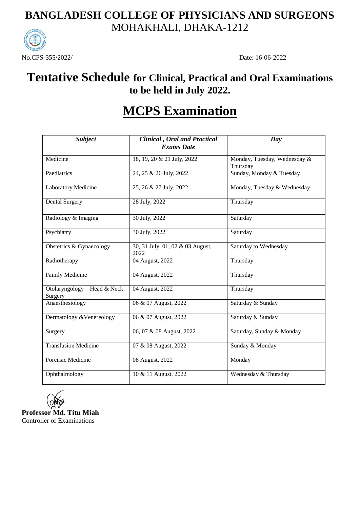## **BANGLADESH COLLEGE OF PHYSICIANS AND SURGEONS** MOHAKHALI, DHAKA-1212



## **Tentative Schedule for Clinical, Practical and Oral Examinations to be held in July 2022.**

# **MCPS Examination**

| <b>Subject</b>                          | <b>Clinical</b> , Oral and Practical<br><b>Exams Date</b> | Day                                      |
|-----------------------------------------|-----------------------------------------------------------|------------------------------------------|
| Medicine                                | 18, 19, 20 & 21 July, 2022                                | Monday, Tuesday, Wednesday &<br>Thursday |
| Paediatrics                             | 24, 25 & 26 July, 2022                                    | Sunday, Monday & Tuesday                 |
| Laboratory Medicine                     | 25, 26 & 27 July, 2022                                    | Monday, Tuesday & Wednesday              |
| Dental Surgery                          | 28 July, 2022                                             | Thursday                                 |
| Radiology & Imaging                     | 30 July, 2022                                             | Saturday                                 |
| Psychiatry                              | 30 July, 2022                                             | Saturday                                 |
| Obstetrics & Gynaecology                | 30, 31 July, 01, 02 & 03 August,<br>2022                  | Saturday to Wednesday                    |
| Radiotherapy                            | 04 August, 2022                                           | Thursday                                 |
| <b>Family Medicine</b>                  | 04 August, 2022                                           | Thursday                                 |
| Otolaryngology - Head & Neck<br>Surgery | 04 August, 2022                                           | Thursday                                 |
| Anaesthesiology                         | 06 & 07 August, 2022                                      | Saturday & Sunday                        |
| Dermatology & Venereology               | 06 & 07 August, 2022                                      | Saturday & Sunday                        |
| Surgery                                 | 06, 07 & 08 August, 2022                                  | Saturday, Sunday & Monday                |
| <b>Transfusion Medicine</b>             | 07 & 08 August, 2022                                      | Sunday & Monday                          |
| Forensic Medicine                       | 08 August, 2022                                           | Monday                                   |
| Ophthalmology                           | 10 & 11 August, 2022                                      | Wednesday & Thursday                     |